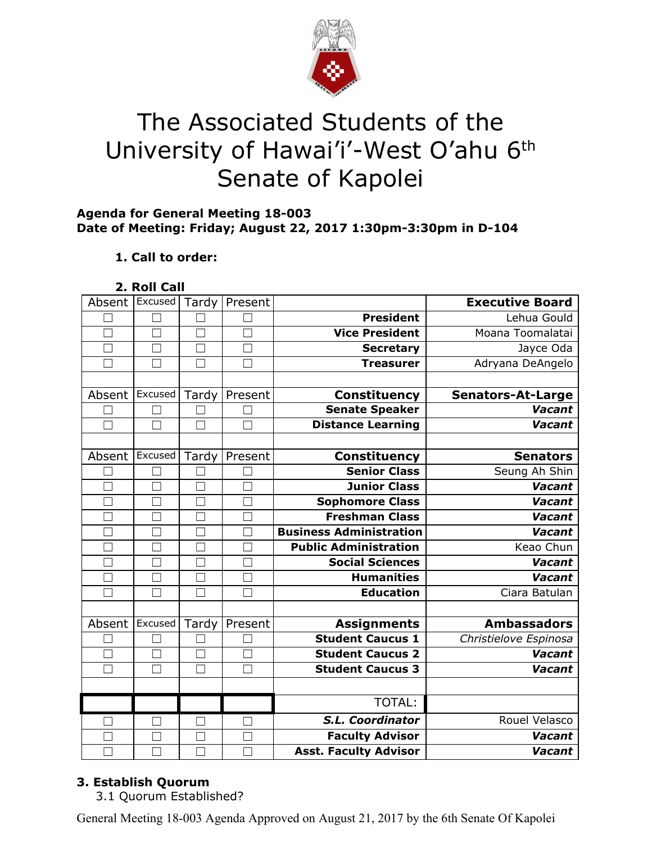

# The Associated Students of the University of Hawai'i'-West O'ahu 6<sup>th</sup> Senate of Kapolei

## **Agenda for General Meeting 18-003 Date of Meeting: Friday; August 22, 2017 1:30pm-3:30pm in D-104**

# **1. Call to order:**

**2. Roll Call**

| Absent Excused    |         | Tardy             | Present      |                                | <b>Executive Board</b>   |
|-------------------|---------|-------------------|--------------|--------------------------------|--------------------------|
|                   |         |                   |              | <b>President</b>               | Lehua Gould              |
| П                 | П       | $\Box$            | $\Box$       | <b>Vice President</b>          | Moana Toomalatai         |
|                   |         | $\vert \ \ \vert$ |              | <b>Secretary</b>               | Jayce Oda                |
|                   |         | П                 | П            | <b>Treasurer</b>               | Adryana DeAngelo         |
|                   |         |                   |              |                                |                          |
| Absent            | Excused | Tardy             | Present      | <b>Constituency</b>            | <b>Senators-At-Large</b> |
|                   |         |                   | $\Box$       | <b>Senate Speaker</b>          | <b>Vacant</b>            |
|                   | $\Box$  | П                 | П            | <b>Distance Learning</b>       | <b>Vacant</b>            |
|                   |         |                   |              |                                |                          |
| Absent            | Excused | Tardy             | Present      | <b>Constituency</b>            | <b>Senators</b>          |
|                   |         |                   |              | <b>Senior Class</b>            | Seung Ah Shin            |
|                   |         | $\vert \ \ \vert$ | $\Box$       | <b>Junior Class</b>            | Vacant                   |
|                   |         | $\vert \ \ \vert$ |              | Sophomore Class                | Vacant                   |
|                   |         | $\Box$            |              | <b>Freshman Class</b>          | <b>Vacant</b>            |
|                   |         | $\Box$            | Г            | <b>Business Administration</b> | <b>Vacant</b>            |
|                   |         | П                 | Г            | <b>Public Administration</b>   | Keao Chun                |
| $\vert \ \ \vert$ |         | $\Box$            | $\mathbf{L}$ | <b>Social Sciences</b>         | <b>Vacant</b>            |
| $\Box$            | ┐       | $\Box$            | $\Box$       | <b>Humanities</b>              | Vacant                   |
| $\Box$            |         | $\Box$            | П            | <b>Education</b>               | Ciara Batulan            |
|                   |         |                   |              |                                |                          |
| Absent            | Excused | Tardy             | Present      | <b>Assignments</b>             | <b>Ambassadors</b>       |
|                   |         |                   |              | <b>Student Caucus 1</b>        | Christielove Espinosa    |
|                   | ┐       | $\Box$            | $\Box$       | <b>Student Caucus 2</b>        | <b>Vacant</b>            |
| П                 |         | $\Box$            | Г            | <b>Student Caucus 3</b>        | <b>Vacant</b>            |
|                   |         |                   |              |                                |                          |
|                   |         |                   |              | TOTAL:                         |                          |
| $\mathbf{I}$      |         | П                 | $\Box$       | S.L. Coordinator               | Rouel Velasco            |
|                   |         | П                 |              | <b>Faculty Advisor</b>         | <b>Vacant</b>            |
|                   |         |                   |              | <b>Asst. Faculty Advisor</b>   | Vacant                   |

# **3. Establish Quorum**

3.1 Quorum Established?

General Meeting 18-003 Agenda Approved on August 21, 2017 by the 6th Senate Of Kapolei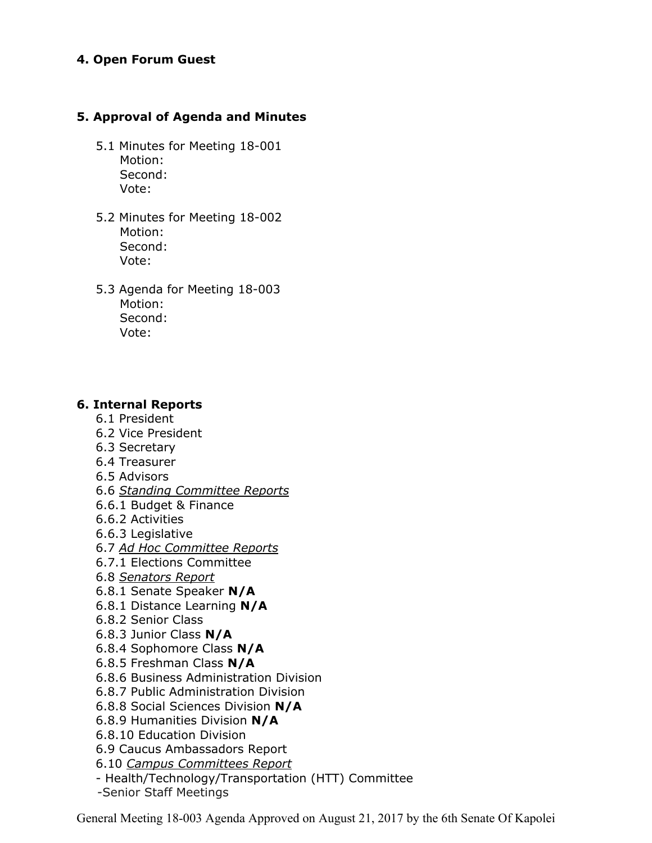#### **4. Open Forum Guest**

#### **5. Approval of Agenda and Minutes**

- 5.1 Minutes for Meeting 18-001 Motion: Second: Vote:
- 5.2 Minutes for Meeting 18-002 Motion: Second: Vote:
- 5.3 Agenda for Meeting 18-003 Motion: Second: Vote:

#### **6. Internal Reports**

- 6.1 President
- 6.2 Vice President
- 6.3 Secretary
- 6.4 Treasurer
- 6.5 Advisors
- 6.6 *Standing Committee Reports*
- 6.6.1 Budget & Finance
- 6.6.2 Activities
- 6.6.3 Legislative
- 6.7 *Ad Hoc Committee Reports*
- 6.7.1 Elections Committee
- 6.8 *Senators Report*
- 6.8.1 Senate Speaker **N/A**
- 6.8.1 Distance Learning **N/A**
- 6.8.2 Senior Class
- 6.8.3 Junior Class **N/A**
- 6.8.4 Sophomore Class **N/A**
- 6.8.5 Freshman Class **N/A**
- 6.8.6 Business Administration Division
- 6.8.7 Public Administration Division
- 6.8.8 Social Sciences Division **N/A**
- 6.8.9 Humanities Division **N/A**
- 6.8.10 Education Division
- 6.9 Caucus Ambassadors Report
- 6.10 *Campus Committees Report*
- Health/Technology/Transportation (HTT) Committee
- -Senior Staff Meetings